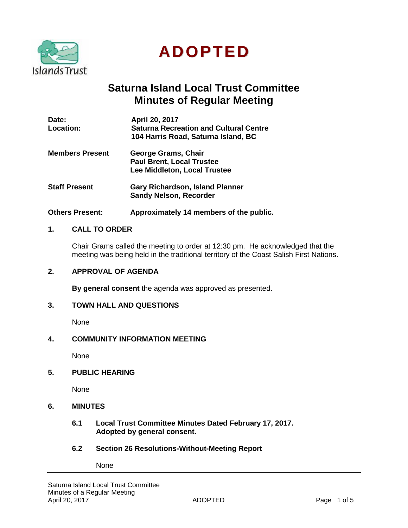

**ADOPTED**

# **Saturna Island Local Trust Committee Minutes of Regular Meeting**

| Date:<br>Location:     | April 20, 2017<br><b>Saturna Recreation and Cultural Centre</b><br>104 Harris Road, Saturna Island, BC |
|------------------------|--------------------------------------------------------------------------------------------------------|
| <b>Members Present</b> | George Grams, Chair<br><b>Paul Brent, Local Trustee</b><br>Lee Middleton, Local Trustee                |
| <b>Staff Present</b>   | <b>Gary Richardson, Island Planner</b><br><b>Sandy Nelson, Recorder</b>                                |

**Others Present: Approximately 14 members of the public.**

### **1. CALL TO ORDER**

Chair Grams called the meeting to order at 12:30 pm. He acknowledged that the meeting was being held in the traditional territory of the Coast Salish First Nations.

### **2. APPROVAL OF AGENDA**

**By general consent** the agenda was approved as presented.

### **3. TOWN HALL AND QUESTIONS**

None

### **4. COMMUNITY INFORMATION MEETING**

None

**5. PUBLIC HEARING**

None

### **6. MINUTES**

- **6.1 Local Trust Committee Minutes Dated February 17, 2017. Adopted by general consent.**
- **6.2 Section 26 Resolutions-Without-Meeting Report**

None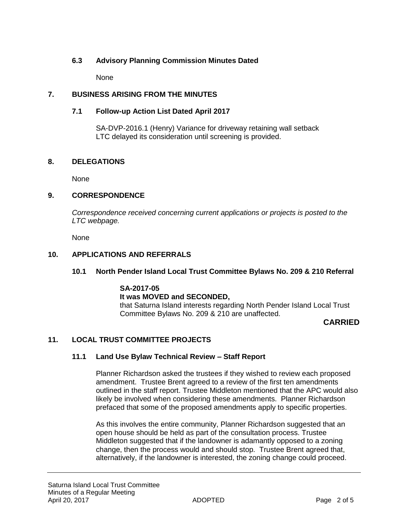### **6.3 Advisory Planning Commission Minutes Dated**

None

### **7. BUSINESS ARISING FROM THE MINUTES**

### **7.1 Follow-up Action List Dated April 2017**

SA-DVP-2016.1 (Henry) Variance for driveway retaining wall setback LTC delayed its consideration until screening is provided.

### **8. DELEGATIONS**

None

### **9. CORRESPONDENCE**

*Correspondence received concerning current applications or projects is posted to the LTC webpage.*

None

### **10. APPLICATIONS AND REFERRALS**

### **10.1 North Pender Island Local Trust Committee Bylaws No. 209 & 210 Referral**

#### **SA-2017-05 It was MOVED and SECONDED,**

that Saturna Island interests regarding North Pender Island Local Trust Committee Bylaws No. 209 & 210 are unaffected.

## **CARRIED**

## **11. LOCAL TRUST COMMITTEE PROJECTS**

### **11.1 Land Use Bylaw Technical Review – Staff Report**

Planner Richardson asked the trustees if they wished to review each proposed amendment. Trustee Brent agreed to a review of the first ten amendments outlined in the staff report. Trustee Middleton mentioned that the APC would also likely be involved when considering these amendments. Planner Richardson prefaced that some of the proposed amendments apply to specific properties.

As this involves the entire community, Planner Richardson suggested that an open house should be held as part of the consultation process. Trustee Middleton suggested that if the landowner is adamantly opposed to a zoning change, then the process would and should stop. Trustee Brent agreed that, alternatively, if the landowner is interested, the zoning change could proceed.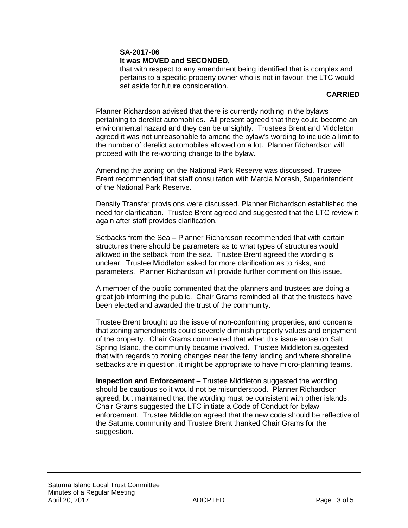## **SA-2017-06**

## **It was MOVED and SECONDED,**

that with respect to any amendment being identified that is complex and pertains to a specific property owner who is not in favour, the LTC would set aside for future consideration.

### **CARRIED**

Planner Richardson advised that there is currently nothing in the bylaws pertaining to derelict automobiles. All present agreed that they could become an environmental hazard and they can be unsightly. Trustees Brent and Middleton agreed it was not unreasonable to amend the bylaw's wording to include a limit to the number of derelict automobiles allowed on a lot. Planner Richardson will proceed with the re-wording change to the bylaw.

Amending the zoning on the National Park Reserve was discussed. Trustee Brent recommended that staff consultation with Marcia Morash, Superintendent of the National Park Reserve.

Density Transfer provisions were discussed. Planner Richardson established the need for clarification. Trustee Brent agreed and suggested that the LTC review it again after staff provides clarification.

Setbacks from the Sea – Planner Richardson recommended that with certain structures there should be parameters as to what types of structures would allowed in the setback from the sea. Trustee Brent agreed the wording is unclear. Trustee Middleton asked for more clarification as to risks, and parameters. Planner Richardson will provide further comment on this issue.

A member of the public commented that the planners and trustees are doing a great job informing the public. Chair Grams reminded all that the trustees have been elected and awarded the trust of the community.

Trustee Brent brought up the issue of non-conforming properties, and concerns that zoning amendments could severely diminish property values and enjoyment of the property. Chair Grams commented that when this issue arose on Salt Spring Island, the community became involved. Trustee Middleton suggested that with regards to zoning changes near the ferry landing and where shoreline setbacks are in question, it might be appropriate to have micro-planning teams.

**Inspection and Enforcement** – Trustee Middleton suggested the wording should be cautious so it would not be misunderstood. Planner Richardson agreed, but maintained that the wording must be consistent with other islands. Chair Grams suggested the LTC initiate a Code of Conduct for bylaw enforcement. Trustee Middleton agreed that the new code should be reflective of the Saturna community and Trustee Brent thanked Chair Grams for the suggestion.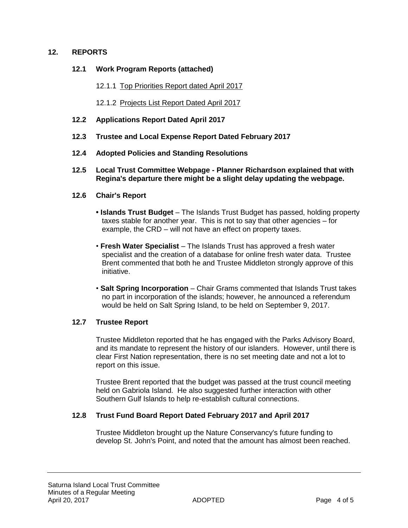### **12. REPORTS**

### **12.1 Work Program Reports (attached)**

- 12.1.1 Top Priorities Report dated April 2017
- 12.1.2 Projects List Report Dated April 2017
- **12.2 Applications Report Dated April 2017**
- **12.3 Trustee and Local Expense Report Dated February 2017**
- **12.4 Adopted Policies and Standing Resolutions**
- **12.5 Local Trust Committee Webpage - Planner Richardson explained that with Regina's departure there might be a slight delay updating the webpage.**

### **12.6 Chair's Report**

- **Islands Trust Budget**  The Islands Trust Budget has passed, holding property taxes stable for another year. This is not to say that other agencies – for example, the CRD – will not have an effect on property taxes.
- **Fresh Water Specialist** The Islands Trust has approved a fresh water specialist and the creation of a database for online fresh water data. Trustee Brent commented that both he and Trustee Middleton strongly approve of this initiative.
- **Salt Spring Incorporation** Chair Grams commented that Islands Trust takes no part in incorporation of the islands; however, he announced a referendum would be held on Salt Spring Island, to be held on September 9, 2017.

### **12.7 Trustee Report**

Trustee Middleton reported that he has engaged with the Parks Advisory Board, and its mandate to represent the history of our islanders. However, until there is clear First Nation representation, there is no set meeting date and not a lot to report on this issue.

Trustee Brent reported that the budget was passed at the trust council meeting held on Gabriola Island. He also suggested further interaction with other Southern Gulf Islands to help re-establish cultural connections.

### **12.8 Trust Fund Board Report Dated February 2017 and April 2017**

Trustee Middleton brought up the Nature Conservancy's future funding to develop St. John's Point, and noted that the amount has almost been reached.